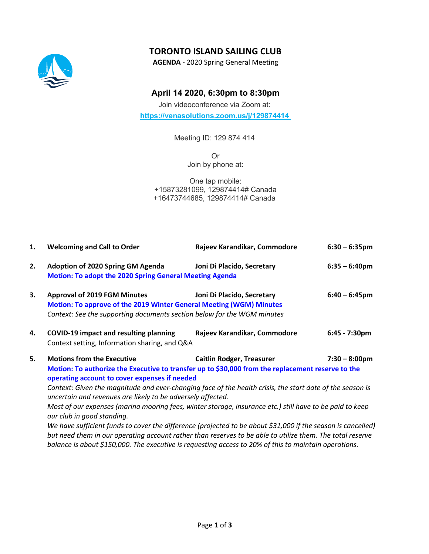# **TORONTO ISLAND SAILING CLUB**



**AGENDA** - 2020 Spring General Meeting

## **April 14 2020, 6:30pm to 8:30pm**

Join videoconference via Zoom at: **https://venasolutions.zoom.us/j/129874414**

Meeting ID: 129 874 414

Or Join by phone at:

One tap mobile: +15873281099, 129874414# Canada +16473744685, 129874414# Canada

| 1. | <b>Welcoming and Call to Order</b>                                                                                                                                                                                                                                                                                                                                                                                                                                                                                                                                                                                                                                                                                                                                                                                                                                                                                 | Rajeev Karandikar, Commodore | $6:30 - 6:35$ pm |
|----|--------------------------------------------------------------------------------------------------------------------------------------------------------------------------------------------------------------------------------------------------------------------------------------------------------------------------------------------------------------------------------------------------------------------------------------------------------------------------------------------------------------------------------------------------------------------------------------------------------------------------------------------------------------------------------------------------------------------------------------------------------------------------------------------------------------------------------------------------------------------------------------------------------------------|------------------------------|------------------|
| 2. | Adoption of 2020 Spring GM Agenda<br><b>Motion: To adopt the 2020 Spring General Meeting Agenda</b>                                                                                                                                                                                                                                                                                                                                                                                                                                                                                                                                                                                                                                                                                                                                                                                                                | Joni Di Placido, Secretary   | $6:35 - 6:40$ pm |
| 3. | <b>Approval of 2019 FGM Minutes</b><br>Motion: To approve of the 2019 Winter General Meeting (WGM) Minutes<br>Context: See the supporting documents section below for the WGM minutes                                                                                                                                                                                                                                                                                                                                                                                                                                                                                                                                                                                                                                                                                                                              | Joni Di Placido, Secretary   | $6:40 - 6:45$ pm |
| 4. | <b>COVID-19 impact and resulting planning</b><br>Context setting, Information sharing, and Q&A                                                                                                                                                                                                                                                                                                                                                                                                                                                                                                                                                                                                                                                                                                                                                                                                                     | Rajeev Karandikar, Commodore | 6:45 - 7:30pm    |
| 5. | <b>Motions from the Executive</b><br><b>Caitlin Rodger, Treasurer</b><br>$7:30 - 8:00 \text{pm}$<br>Motion: To authorize the Executive to transfer up to \$30,000 from the replacement reserve to the<br>operating account to cover expenses if needed<br>Context: Given the magnitude and ever-changing face of the health crisis, the start date of the season is<br>uncertain and revenues are likely to be adversely affected.<br>Most of our expenses (marina mooring fees, winter storage, insurance etc.) still have to be paid to keep<br>our club in good standing.<br>We have sufficient funds to cover the difference (projected to be about \$31,000 if the season is cancelled)<br>but need them in our operating account rather than reserves to be able to utilize them. The total reserve<br>balance is about \$150,000. The executive is requesting access to 20% of this to maintain operations. |                              |                  |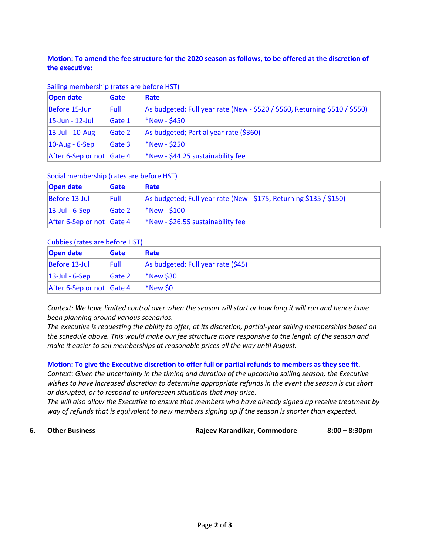### **Motion: To amend the fee structure for the 2020 season as follows, to be offered at the discretion of the executive:**

| Sailing membership (rates are before HST) |  |  |
|-------------------------------------------|--|--|
|-------------------------------------------|--|--|

| <b>Open date</b>          | Gate   | Rate                                                                       |
|---------------------------|--------|----------------------------------------------------------------------------|
| Before 15-Jun             | Full   | As budgeted; Full year rate (New - \$520 / \$560, Returning \$510 / \$550) |
| $ 15 - Jun - 12 - Jul $   | Gate 1 | <b>*New - \$450</b>                                                        |
| $ 13 - Ju  - 10 - Aug $   | Gate 2 | As budgeted; Partial year rate (\$360)                                     |
| $10$ -Aug - 6-Sep         | Gate 3 | *New - \$250                                                               |
| After 6-Sep or not Gate 4 |        | *New - \$44.25 sustainability fee                                          |

#### Social membership (rates are before HST)

| Open date                 | <b>Gate</b> | Rate                                                               |
|---------------------------|-------------|--------------------------------------------------------------------|
| Before 13-Jul             | <b>Full</b> | As budgeted; Full year rate (New - \$175, Returning \$135 / \$150) |
| $ 13$ -Jul - 6-Sep        | Gate 2      | $*New - $100$                                                      |
| After 6-Sep or not Gate 4 |             | $*$ New - \$26.55 sustainability fee                               |

#### Cubbies (rates are before HST)

| Open date                         | <b>Gate</b>   | Rate                               |
|-----------------------------------|---------------|------------------------------------|
| Before 13-Jul                     | <b>Full</b>   | As budgeted; Full year rate (\$45) |
| $ 13$ -Jul - 6-Sep                | <b>Gate 2</b> | <b>*New \$30</b>                   |
| After 6-Sep or not $\vert$ Gate 4 |               | *New \$0                           |

*Context: We have limited control over when the season will start or how long it will run and hence have been planning around various scenarios.*

*The executive is requesting the ability to offer, at its discretion, partial-year sailing memberships based on the schedule above. This would make our fee structure more responsive to the length of the season and make it easier to sell memberships at reasonable prices all the way until August.*

#### **Motion: To give the Executive discretion to offer full or partial refunds to members as they see fit.**

*Context: Given the uncertainty in the timing and duration of the upcoming sailing season, the Executive wishes to have increased discretion to determine appropriate refunds in the event the season is cut short or disrupted, or to respond to unforeseen situations that may arise.*

*The will also allow the Executive to ensure that members who have already signed up receive treatment by way of refunds that is equivalent to new members signing up if the season is shorter than expected.*

**6. Other Business Rajeev Karandikar, Commodore 8:00 – 8:30pm**